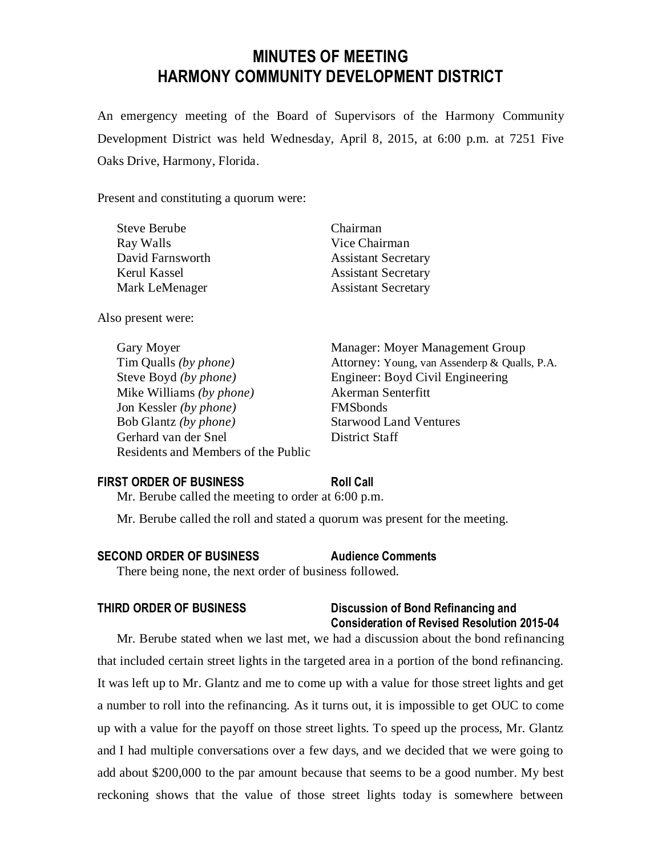# **MINUTES OF MEETING HARMONY COMMUNITY DEVELOPMENT DISTRICT**

An emergency meeting of the Board of Supervisors of the Harmony Community Development District was held Wednesday, April 8, 2015, at 6:00 p.m. at 7251 Five Oaks Drive, Harmony, Florida.

Present and constituting a quorum were:

| Steve Berube     | Chairman                   |
|------------------|----------------------------|
| Ray Walls        | Vice Chairman              |
| David Farnsworth | <b>Assistant Secretary</b> |
| Kerul Kassel     | <b>Assistant Secretary</b> |
| Mark LeMenager   | <b>Assistant Secretary</b> |
|                  |                            |

Also present were:

Steve Boyd *(by phone)* Engineer: Boyd Civil Engineering Mike Williams *(by phone)* Akerman Senterfitt Jon Kessler *(by phone)* FMSbonds Bob Glantz *(by phone)* Starwood Land Ventures Gerhard van der Snel District Staff Residents and Members of the Public

Gary Moyer **Manager:** Moyer Management Group Tim Qualls *(by phone)* Attorney: Young, van Assenderp & Qualls, P.A.

### **FIRST ORDER OF BUSINESS Roll Call**

Mr. Berube called the meeting to order at 6:00 p.m.

Mr. Berube called the roll and stated a quorum was present for the meeting.

### **SECOND ORDER OF BUSINESS Audience Comments**

There being none, the next order of business followed.

# **THIRD ORDER OF BUSINESS Discussion of Bond Refinancing and Consideration of Revised Resolution 2015-04**

Mr. Berube stated when we last met, we had a discussion about the bond refinancing that included certain street lights in the targeted area in a portion of the bond refinancing. It was left up to Mr. Glantz and me to come up with a value for those street lights and get a number to roll into the refinancing. As it turns out, it is impossible to get OUC to come up with a value for the payoff on those street lights. To speed up the process, Mr. Glantz and I had multiple conversations over a few days, and we decided that we were going to add about \$200,000 to the par amount because that seems to be a good number. My best reckoning shows that the value of those street lights today is somewhere between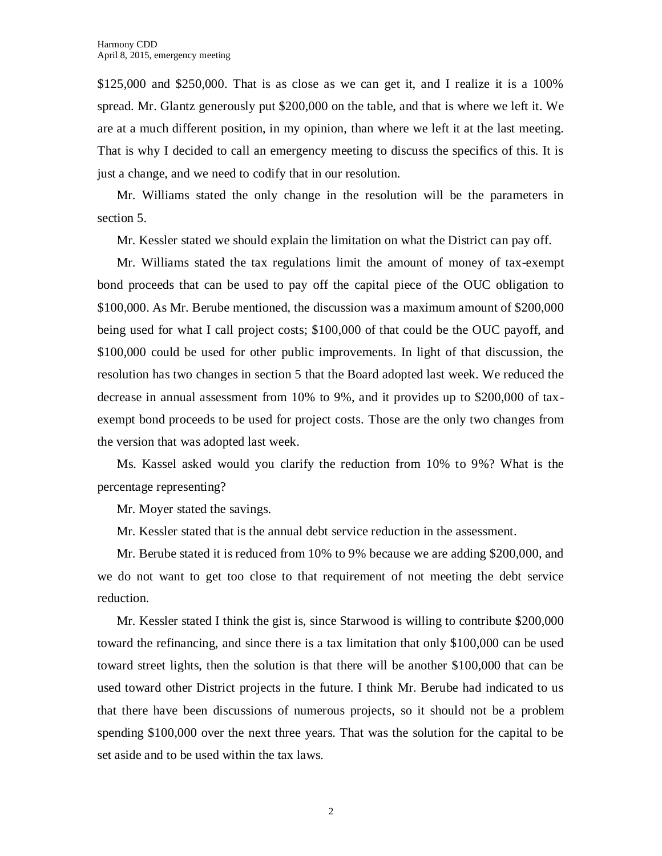$$125,000$  and  $$250,000$ . That is as close as we can get it, and I realize it is a 100% spread. Mr. Glantz generously put \$200,000 on the table, and that is where we left it. We are at a much different position, in my opinion, than where we left it at the last meeting. That is why I decided to call an emergency meeting to discuss the specifics of this. It is just a change, and we need to codify that in our resolution.

Mr. Williams stated the only change in the resolution will be the parameters in section 5.

Mr. Kessler stated we should explain the limitation on what the District can pay off.

Mr. Williams stated the tax regulations limit the amount of money of tax-exempt bond proceeds that can be used to pay off the capital piece of the OUC obligation to \$100,000. As Mr. Berube mentioned, the discussion was a maximum amount of \$200,000 being used for what I call project costs; \$100,000 of that could be the OUC payoff, and \$100,000 could be used for other public improvements. In light of that discussion, the resolution has two changes in section 5 that the Board adopted last week. We reduced the decrease in annual assessment from 10% to 9%, and it provides up to \$200,000 of taxexempt bond proceeds to be used for project costs. Those are the only two changes from the version that was adopted last week.

Ms. Kassel asked would you clarify the reduction from 10% to 9%? What is the percentage representing?

Mr. Moyer stated the savings.

Mr. Kessler stated that is the annual debt service reduction in the assessment.

Mr. Berube stated it is reduced from 10% to 9% because we are adding \$200,000, and we do not want to get too close to that requirement of not meeting the debt service reduction.

Mr. Kessler stated I think the gist is, since Starwood is willing to contribute \$200,000 toward the refinancing, and since there is a tax limitation that only \$100,000 can be used toward street lights, then the solution is that there will be another \$100,000 that can be used toward other District projects in the future. I think Mr. Berube had indicated to us that there have been discussions of numerous projects, so it should not be a problem spending \$100,000 over the next three years. That was the solution for the capital to be set aside and to be used within the tax laws.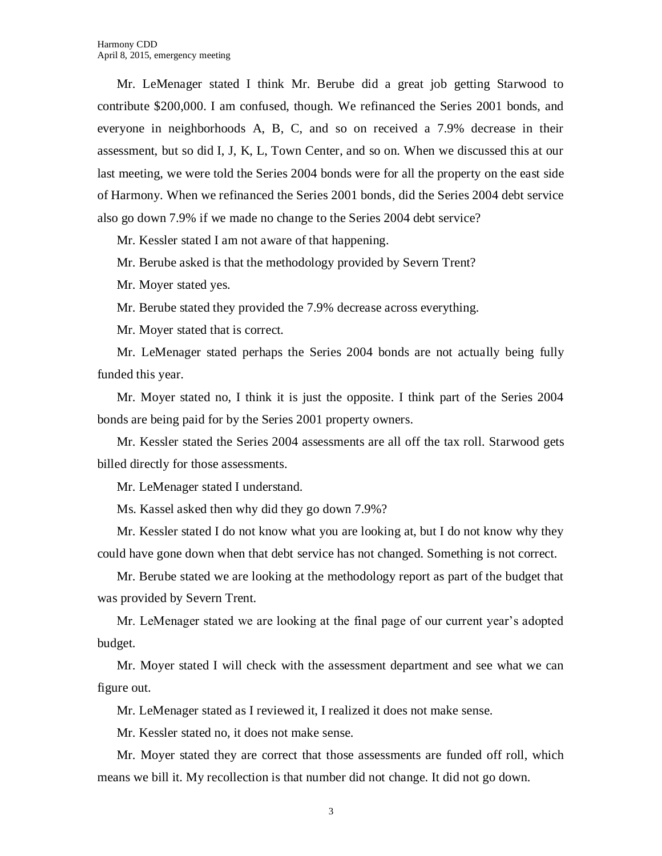Mr. LeMenager stated I think Mr. Berube did a great job getting Starwood to contribute \$200,000. I am confused, though. We refinanced the Series 2001 bonds, and everyone in neighborhoods A, B, C, and so on received a 7.9% decrease in their assessment, but so did I, J, K, L, Town Center, and so on. When we discussed this at our last meeting, we were told the Series 2004 bonds were for all the property on the east side of Harmony. When we refinanced the Series 2001 bonds, did the Series 2004 debt service also go down 7.9% if we made no change to the Series 2004 debt service?

Mr. Kessler stated I am not aware of that happening.

Mr. Berube asked is that the methodology provided by Severn Trent?

Mr. Moyer stated yes.

Mr. Berube stated they provided the 7.9% decrease across everything.

Mr. Moyer stated that is correct.

Mr. LeMenager stated perhaps the Series 2004 bonds are not actually being fully funded this year.

Mr. Moyer stated no, I think it is just the opposite. I think part of the Series 2004 bonds are being paid for by the Series 2001 property owners.

Mr. Kessler stated the Series 2004 assessments are all off the tax roll. Starwood gets billed directly for those assessments.

Mr. LeMenager stated I understand.

Ms. Kassel asked then why did they go down 7.9%?

Mr. Kessler stated I do not know what you are looking at, but I do not know why they could have gone down when that debt service has not changed. Something is not correct.

Mr. Berube stated we are looking at the methodology report as part of the budget that was provided by Severn Trent.

Mr. LeMenager stated we are looking at the final page of our current year's adopted budget.

Mr. Moyer stated I will check with the assessment department and see what we can figure out.

Mr. LeMenager stated as I reviewed it, I realized it does not make sense.

Mr. Kessler stated no, it does not make sense.

Mr. Moyer stated they are correct that those assessments are funded off roll, which means we bill it. My recollection is that number did not change. It did not go down.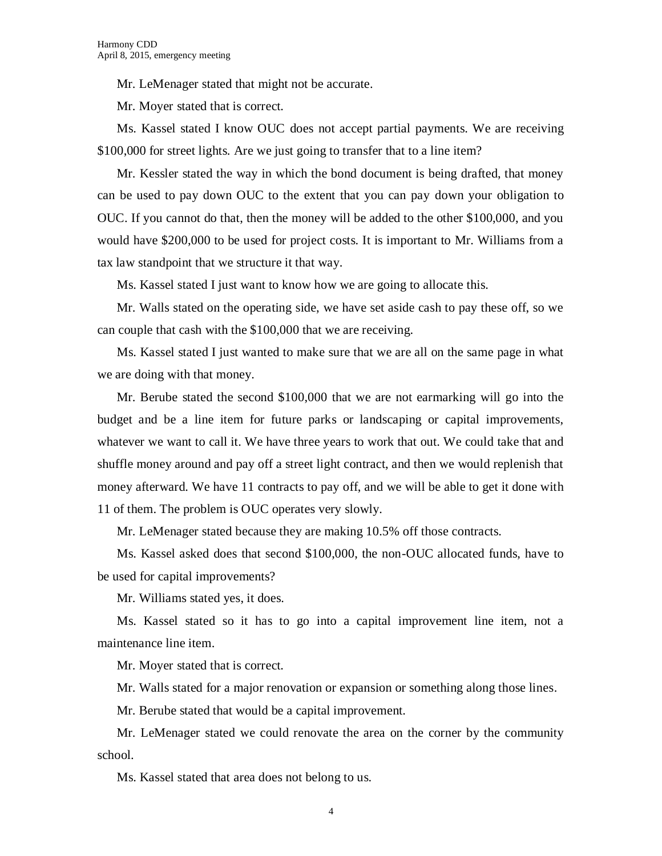Mr. LeMenager stated that might not be accurate.

Mr. Moyer stated that is correct.

Ms. Kassel stated I know OUC does not accept partial payments. We are receiving \$100,000 for street lights. Are we just going to transfer that to a line item?

Mr. Kessler stated the way in which the bond document is being drafted, that money can be used to pay down OUC to the extent that you can pay down your obligation to OUC. If you cannot do that, then the money will be added to the other \$100,000, and you would have \$200,000 to be used for project costs. It is important to Mr. Williams from a tax law standpoint that we structure it that way.

Ms. Kassel stated I just want to know how we are going to allocate this.

Mr. Walls stated on the operating side, we have set aside cash to pay these off, so we can couple that cash with the \$100,000 that we are receiving.

Ms. Kassel stated I just wanted to make sure that we are all on the same page in what we are doing with that money.

Mr. Berube stated the second \$100,000 that we are not earmarking will go into the budget and be a line item for future parks or landscaping or capital improvements, whatever we want to call it. We have three years to work that out. We could take that and shuffle money around and pay off a street light contract, and then we would replenish that money afterward. We have 11 contracts to pay off, and we will be able to get it done with 11 of them. The problem is OUC operates very slowly.

Mr. LeMenager stated because they are making 10.5% off those contracts.

Ms. Kassel asked does that second \$100,000, the non-OUC allocated funds, have to be used for capital improvements?

Mr. Williams stated yes, it does.

Ms. Kassel stated so it has to go into a capital improvement line item, not a maintenance line item.

Mr. Moyer stated that is correct.

Mr. Walls stated for a major renovation or expansion or something along those lines.

Mr. Berube stated that would be a capital improvement.

Mr. LeMenager stated we could renovate the area on the corner by the community school.

Ms. Kassel stated that area does not belong to us.

4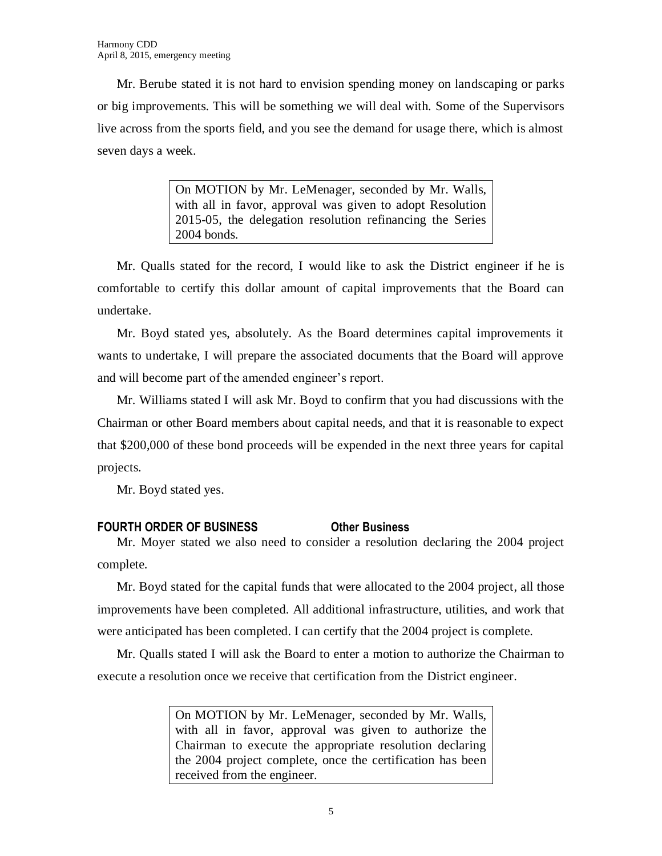Mr. Berube stated it is not hard to envision spending money on landscaping or parks or big improvements. This will be something we will deal with. Some of the Supervisors live across from the sports field, and you see the demand for usage there, which is almost seven days a week.

> On MOTION by Mr. LeMenager, seconded by Mr. Walls, with all in favor, approval was given to adopt Resolution 2015-05, the delegation resolution refinancing the Series 2004 bonds.

Mr. Qualls stated for the record, I would like to ask the District engineer if he is comfortable to certify this dollar amount of capital improvements that the Board can undertake.

Mr. Boyd stated yes, absolutely. As the Board determines capital improvements it wants to undertake, I will prepare the associated documents that the Board will approve and will become part of the amended engineer's report.

Mr. Williams stated I will ask Mr. Boyd to confirm that you had discussions with the Chairman or other Board members about capital needs, and that it is reasonable to expect that \$200,000 of these bond proceeds will be expended in the next three years for capital projects.

Mr. Boyd stated yes.

# **FOURTH ORDER OF BUSINESS Other Business**

Mr. Moyer stated we also need to consider a resolution declaring the 2004 project complete.

Mr. Boyd stated for the capital funds that were allocated to the 2004 project, all those improvements have been completed. All additional infrastructure, utilities, and work that were anticipated has been completed. I can certify that the 2004 project is complete.

Mr. Qualls stated I will ask the Board to enter a motion to authorize the Chairman to execute a resolution once we receive that certification from the District engineer.

> On MOTION by Mr. LeMenager, seconded by Mr. Walls, with all in favor, approval was given to authorize the Chairman to execute the appropriate resolution declaring the 2004 project complete, once the certification has been received from the engineer.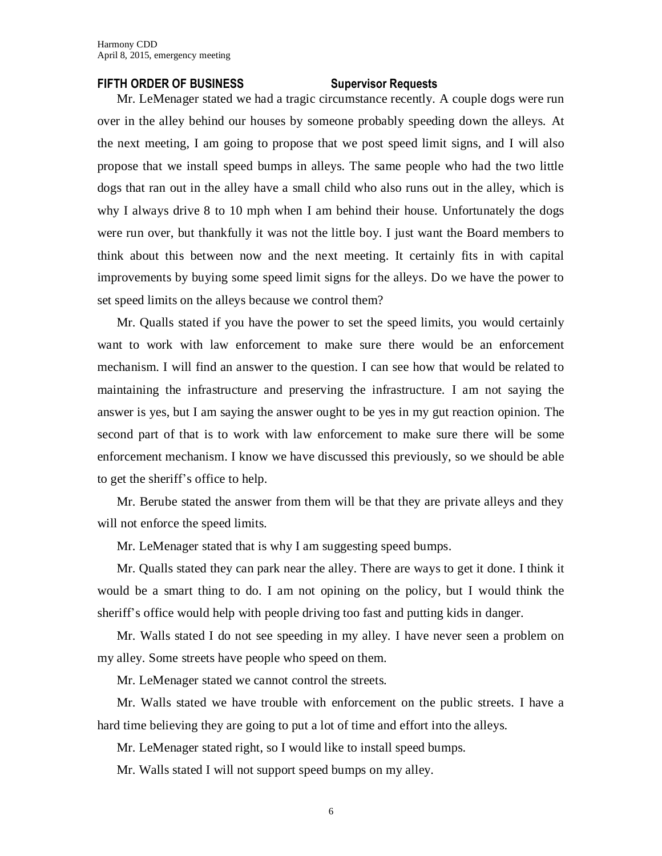### **FIFTH ORDER OF BUSINESS Supervisor Requests**

Mr. LeMenager stated we had a tragic circumstance recently. A couple dogs were run over in the alley behind our houses by someone probably speeding down the alleys. At the next meeting, I am going to propose that we post speed limit signs, and I will also propose that we install speed bumps in alleys. The same people who had the two little dogs that ran out in the alley have a small child who also runs out in the alley, which is why I always drive 8 to 10 mph when I am behind their house. Unfortunately the dogs were run over, but thankfully it was not the little boy. I just want the Board members to think about this between now and the next meeting. It certainly fits in with capital improvements by buying some speed limit signs for the alleys. Do we have the power to set speed limits on the alleys because we control them?

Mr. Qualls stated if you have the power to set the speed limits, you would certainly want to work with law enforcement to make sure there would be an enforcement mechanism. I will find an answer to the question. I can see how that would be related to maintaining the infrastructure and preserving the infrastructure. I am not saying the answer is yes, but I am saying the answer ought to be yes in my gut reaction opinion. The second part of that is to work with law enforcement to make sure there will be some enforcement mechanism. I know we have discussed this previously, so we should be able to get the sheriff's office to help.

Mr. Berube stated the answer from them will be that they are private alleys and they will not enforce the speed limits.

Mr. LeMenager stated that is why I am suggesting speed bumps.

Mr. Qualls stated they can park near the alley. There are ways to get it done. I think it would be a smart thing to do. I am not opining on the policy, but I would think the sheriff's office would help with people driving too fast and putting kids in danger.

Mr. Walls stated I do not see speeding in my alley. I have never seen a problem on my alley. Some streets have people who speed on them.

Mr. LeMenager stated we cannot control the streets.

Mr. Walls stated we have trouble with enforcement on the public streets. I have a hard time believing they are going to put a lot of time and effort into the alleys.

Mr. LeMenager stated right, so I would like to install speed bumps.

Mr. Walls stated I will not support speed bumps on my alley.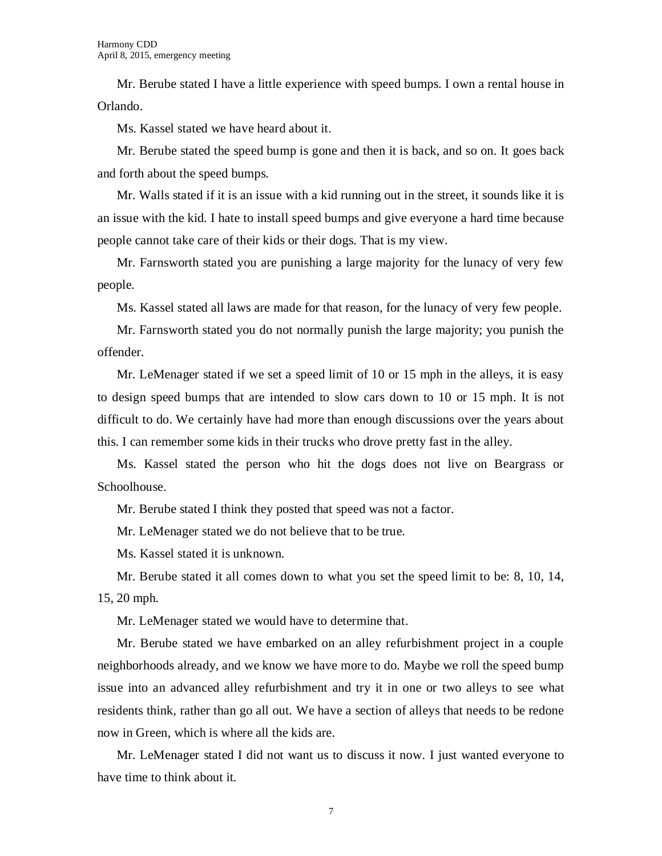Mr. Berube stated I have a little experience with speed bumps. I own a rental house in Orlando.

Ms. Kassel stated we have heard about it.

Mr. Berube stated the speed bump is gone and then it is back, and so on. It goes back and forth about the speed bumps.

Mr. Walls stated if it is an issue with a kid running out in the street, it sounds like it is an issue with the kid. I hate to install speed bumps and give everyone a hard time because people cannot take care of their kids or their dogs. That is my view.

Mr. Farnsworth stated you are punishing a large majority for the lunacy of very few people.

Ms. Kassel stated all laws are made for that reason, for the lunacy of very few people.

Mr. Farnsworth stated you do not normally punish the large majority; you punish the offender.

Mr. LeMenager stated if we set a speed limit of 10 or 15 mph in the alleys, it is easy to design speed bumps that are intended to slow cars down to 10 or 15 mph. It is not difficult to do. We certainly have had more than enough discussions over the years about this. I can remember some kids in their trucks who drove pretty fast in the alley.

Ms. Kassel stated the person who hit the dogs does not live on Beargrass or Schoolhouse.

Mr. Berube stated I think they posted that speed was not a factor.

Mr. LeMenager stated we do not believe that to be true.

Ms. Kassel stated it is unknown.

Mr. Berube stated it all comes down to what you set the speed limit to be: 8, 10, 14, 15, 20 mph.

Mr. LeMenager stated we would have to determine that.

Mr. Berube stated we have embarked on an alley refurbishment project in a couple neighborhoods already, and we know we have more to do. Maybe we roll the speed bump issue into an advanced alley refurbishment and try it in one or two alleys to see what residents think, rather than go all out. We have a section of alleys that needs to be redone now in Green, which is where all the kids are.

Mr. LeMenager stated I did not want us to discuss it now. I just wanted everyone to have time to think about it.

7